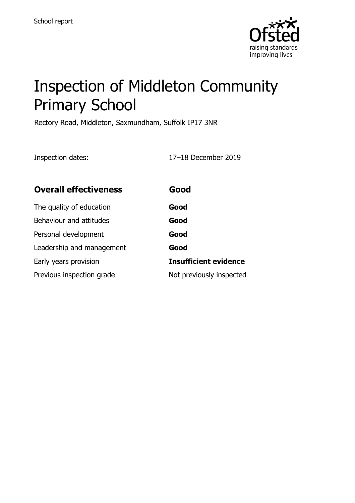

# Inspection of Middleton Community Primary School

Rectory Road, Middleton, Saxmundham, Suffolk IP17 3NR

Inspection dates: 17–18 December 2019

| <b>Overall effectiveness</b> | Good                         |
|------------------------------|------------------------------|
| The quality of education     | Good                         |
| Behaviour and attitudes      | Good                         |
| Personal development         | Good                         |
| Leadership and management    | Good                         |
| Early years provision        | <b>Insufficient evidence</b> |
| Previous inspection grade    | Not previously inspected     |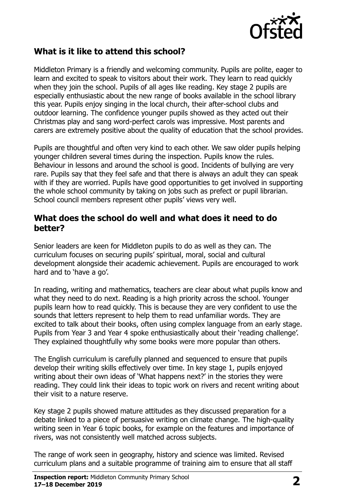

### **What is it like to attend this school?**

Middleton Primary is a friendly and welcoming community. Pupils are polite, eager to learn and excited to speak to visitors about their work. They learn to read quickly when they join the school. Pupils of all ages like reading. Key stage 2 pupils are especially enthusiastic about the new range of books available in the school library this year. Pupils enjoy singing in the local church, their after-school clubs and outdoor learning. The confidence younger pupils showed as they acted out their Christmas play and sang word-perfect carols was impressive. Most parents and carers are extremely positive about the quality of education that the school provides.

Pupils are thoughtful and often very kind to each other. We saw older pupils helping younger children several times during the inspection. Pupils know the rules. Behaviour in lessons and around the school is good. Incidents of bullying are very rare. Pupils say that they feel safe and that there is always an adult they can speak with if they are worried. Pupils have good opportunities to get involved in supporting the whole school community by taking on jobs such as prefect or pupil librarian. School council members represent other pupils' views very well.

#### **What does the school do well and what does it need to do better?**

Senior leaders are keen for Middleton pupils to do as well as they can. The curriculum focuses on securing pupils' spiritual, moral, social and cultural development alongside their academic achievement. Pupils are encouraged to work hard and to 'have a go'.

In reading, writing and mathematics, teachers are clear about what pupils know and what they need to do next. Reading is a high priority across the school. Younger pupils learn how to read quickly. This is because they are very confident to use the sounds that letters represent to help them to read unfamiliar words. They are excited to talk about their books, often using complex language from an early stage. Pupils from Year 3 and Year 4 spoke enthusiastically about their 'reading challenge'. They explained thoughtfully why some books were more popular than others.

The English curriculum is carefully planned and sequenced to ensure that pupils develop their writing skills effectively over time. In key stage 1, pupils enjoyed writing about their own ideas of 'What happens next?' in the stories they were reading. They could link their ideas to topic work on rivers and recent writing about their visit to a nature reserve.

Key stage 2 pupils showed mature attitudes as they discussed preparation for a debate linked to a piece of persuasive writing on climate change. The high-quality writing seen in Year 6 topic books, for example on the features and importance of rivers, was not consistently well matched across subjects.

The range of work seen in geography, history and science was limited. Revised curriculum plans and a suitable programme of training aim to ensure that all staff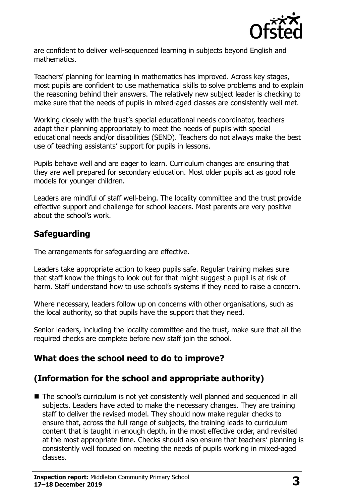

are confident to deliver well-sequenced learning in subjects beyond English and mathematics.

Teachers' planning for learning in mathematics has improved. Across key stages, most pupils are confident to use mathematical skills to solve problems and to explain the reasoning behind their answers. The relatively new subject leader is checking to make sure that the needs of pupils in mixed-aged classes are consistently well met.

Working closely with the trust's special educational needs coordinator, teachers adapt their planning appropriately to meet the needs of pupils with special educational needs and/or disabilities (SEND). Teachers do not always make the best use of teaching assistants' support for pupils in lessons.

Pupils behave well and are eager to learn. Curriculum changes are ensuring that they are well prepared for secondary education. Most older pupils act as good role models for younger children.

Leaders are mindful of staff well-being. The locality committee and the trust provide effective support and challenge for school leaders. Most parents are very positive about the school's work.

## **Safeguarding**

The arrangements for safeguarding are effective.

Leaders take appropriate action to keep pupils safe. Regular training makes sure that staff know the things to look out for that might suggest a pupil is at risk of harm. Staff understand how to use school's systems if they need to raise a concern.

Where necessary, leaders follow up on concerns with other organisations, such as the local authority, so that pupils have the support that they need.

Senior leaders, including the locality committee and the trust, make sure that all the required checks are complete before new staff join the school.

## **What does the school need to do to improve?**

## **(Information for the school and appropriate authority)**

■ The school's curriculum is not yet consistently well planned and sequenced in all subjects. Leaders have acted to make the necessary changes. They are training staff to deliver the revised model. They should now make regular checks to ensure that, across the full range of subjects, the training leads to curriculum content that is taught in enough depth, in the most effective order, and revisited at the most appropriate time. Checks should also ensure that teachers' planning is consistently well focused on meeting the needs of pupils working in mixed-aged classes.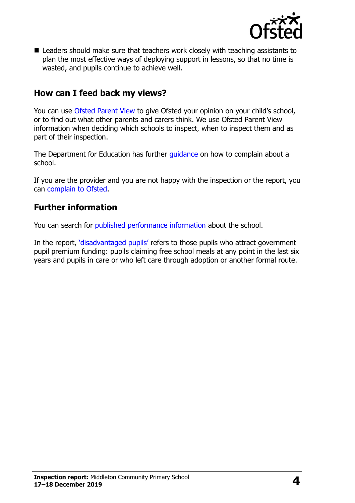

■ Leaders should make sure that teachers work closely with teaching assistants to plan the most effective ways of deploying support in lessons, so that no time is wasted, and pupils continue to achieve well.

#### **How can I feed back my views?**

You can use [Ofsted Parent View](http://parentview.ofsted.gov.uk/) to give Ofsted your opinion on your child's school, or to find out what other parents and carers think. We use Ofsted Parent View information when deciding which schools to inspect, when to inspect them and as part of their inspection.

The Department for Education has further quidance on how to complain about a school.

If you are the provider and you are not happy with the inspection or the report, you can [complain to Ofsted.](http://www.gov.uk/complain-ofsted-report)

### **Further information**

You can search for [published performance information](http://www.compare-school-performance.service.gov.uk/) about the school.

In the report, '[disadvantaged pupils](http://www.gov.uk/guidance/pupil-premium-information-for-schools-and-alternative-provision-settings)' refers to those pupils who attract government pupil premium funding: pupils claiming free school meals at any point in the last six years and pupils in care or who left care through adoption or another formal route.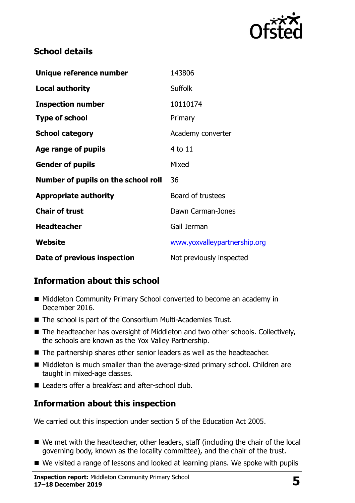

## **School details**

| Unique reference number             | 143806                       |
|-------------------------------------|------------------------------|
| <b>Local authority</b>              | <b>Suffolk</b>               |
| <b>Inspection number</b>            | 10110174                     |
| <b>Type of school</b>               | Primary                      |
| <b>School category</b>              | Academy converter            |
| Age range of pupils                 | $4$ to $11$                  |
| <b>Gender of pupils</b>             | Mixed                        |
| Number of pupils on the school roll | 36                           |
| <b>Appropriate authority</b>        | Board of trustees            |
| <b>Chair of trust</b>               | Dawn Carman-Jones            |
| <b>Headteacher</b>                  | Gail Jerman                  |
| Website                             | www.yoxvalleypartnership.org |
| Date of previous inspection         | Not previously inspected     |

## **Information about this school**

- Middleton Community Primary School converted to become an academy in December 2016.
- The school is part of the Consortium Multi-Academies Trust.
- The headteacher has oversight of Middleton and two other schools. Collectively, the schools are known as the Yox Valley Partnership.
- The partnership shares other senior leaders as well as the headteacher.
- Middleton is much smaller than the average-sized primary school. Children are taught in mixed-age classes.
- Leaders offer a breakfast and after-school club.

## **Information about this inspection**

We carried out this inspection under section 5 of the Education Act 2005.

- We met with the headteacher, other leaders, staff (including the chair of the local governing body, known as the locality committee), and the chair of the trust.
- We visited a range of lessons and looked at learning plans. We spoke with pupils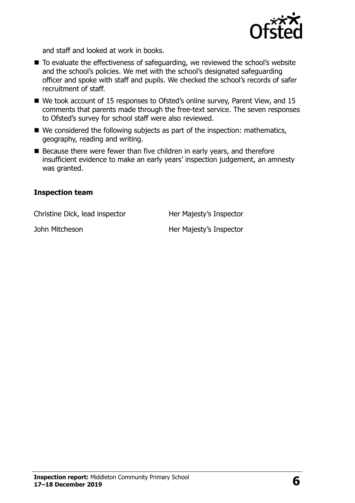

and staff and looked at work in books.

- To evaluate the effectiveness of safeguarding, we reviewed the school's website and the school's policies. We met with the school's designated safeguarding officer and spoke with staff and pupils. We checked the school's records of safer recruitment of staff.
- We took account of 15 responses to Ofsted's online survey, Parent View, and 15 comments that parents made through the free-text service. The seven responses to Ofsted's survey for school staff were also reviewed.
- We considered the following subjects as part of the inspection: mathematics, geography, reading and writing.
- Because there were fewer than five children in early years, and therefore insufficient evidence to make an early years' inspection judgement, an amnesty was granted.

#### **Inspection team**

Christine Dick, lead inspector Her Majesty's Inspector

John Mitcheson **Her Majesty's Inspector**